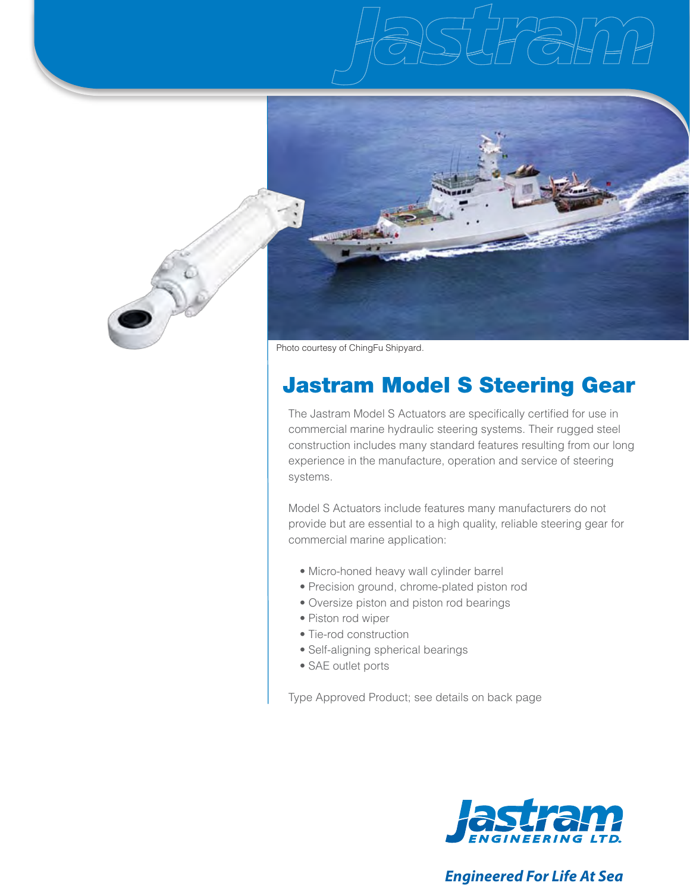

Photo courtesy of ChingFu Shipyard.

# Jastram Model S Steering Gear

The Jastram Model S Actuators are specifically certified for use in commercial marine hydraulic steering systems. Their rugged steel construction includes many standard features resulting from our long experience in the manufacture, operation and service of steering systems.

Model S Actuators include features many manufacturers do not provide but are essential to a high quality, reliable steering gear for commercial marine application:

- Micro-honed heavy wall cylinder barrel
- Precision ground, chrome-plated piston rod
- Oversize piston and piston rod bearings
- Piston rod wiper
- Tie-rod construction
- Self-aligning spherical bearings
- SAE outlet ports

Type Approved Product; see details on back page



# *Engineered For Life At Sea*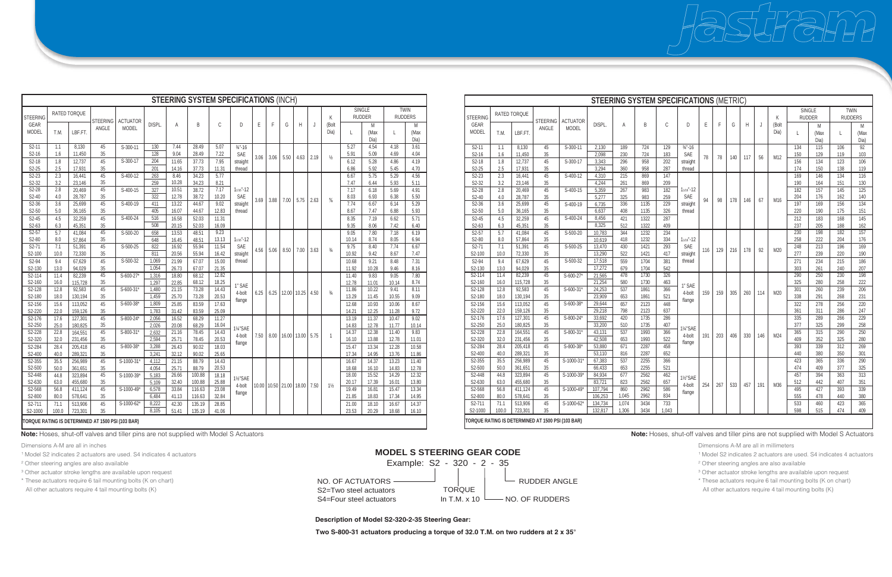Dimensions A-M are all in millimeters

- <sup>1</sup> Model S2 indicates 2 actuators are used. S4 indicates 4 actuators
- ² Other steering angles are also available

<sup>3</sup> Other actuator stroke lengths are available upon request

\* These actuators require 6 tail mounting bolts (K on chart) All other actuators require 4 tail mounting bolts (K)

NO. OF ACTUATORS S2=Two steel actuators  $S4 = Four steel actuators$  In T.M. x 10  $\longrightarrow$  NO. OF RUDDERS Example: S2 - 320 - 2 - 35 RUDDER ANGLE **TORQUE** 

Dimensions A-M are all in inches

<sup>1</sup> Model S2 indicates 2 actuators are used. S4 indicates 4 actuators

² Other steering angles are also available

<sup>3</sup> Other actuator stroke lengths are available upon request

\* These actuators require 6 tail mounting bolts (K on chart)

**Note:** Hoses, shut-off valves and tiller pins are not supplied with Model S Actuators **Note:** Hoses, shut-off valves and tiller pins are not supplied with Model S Actuators

All other actuators require 4 tail mounting bolts (K)

## **MODEL S STEERING GEAR CODE**

**Description of Model S2-320-2-35 Steering Gear:**

**Two S-800-31 actuators producing a torque of 32.0 T.M. on two rudders at 2 x 35°**

|                      |        |                     | <b>STEERING SYSTEM SPECIFICATIONS (METRIC)</b>    |                 |         |       |      |       |                                           |            |     |     |     |     |                 |    |
|----------------------|--------|---------------------|---------------------------------------------------|-----------------|---------|-------|------|-------|-------------------------------------------|------------|-----|-----|-----|-----|-----------------|----|
| <b>STEERING</b>      |        | <b>RATED TORQUE</b> | <b>STEERING</b>                                   | <b>ACTUATOR</b> |         |       |      |       |                                           |            |     |     |     |     | Κ               |    |
| GEAR<br><b>MODEL</b> | T.M.   | LBF.FT.             | ANGLE                                             | <b>MODEL</b>    | DISPL.  | A     | B    | C     | D                                         | E          | F   | G   | H   | J   | (Bolt<br>Dia)   | I  |
| $S2-11$              | 1.1    | 8,130               | 45                                                | $S-300-11$      | 2,130   | 189   | 724  | 129   | $\frac{3}{4}$ "-16                        |            |     |     |     |     |                 | 13 |
| S2-16                | 1.6    | 11,450              | $35\,$                                            |                 | 2,098   | 230   | 724  | 183   | SAE                                       | 78         | 78  | 140 | 117 | 56  | M12             | 15 |
| S2-18                | 1.8    | 12,737              | 45                                                | S-300-17        | 3,343   | 296   | 958  | 202   | straight                                  |            |     |     |     |     |                 | 15 |
| S2-25                | 2.5    | 17,931              | 35                                                |                 | 3,294   | 360   | 958  | 287   | thread                                    |            |     |     |     |     |                 | 17 |
| $S2-23$              | 2.3    | 16,441              | 45                                                | $S-400-12$      | 4,310   | 215   | 869  | 147   |                                           |            |     |     |     |     |                 | 16 |
| S2-32                | 3.2    | 23,146              | 35                                                |                 | 4,244   | 261   | 869  | 209   | $11/16" - 12$<br>SAE                      |            | 98  | 178 | 146 | 67  |                 | 19 |
| $S2-28$              | 2.8    | 20,469              | 45                                                | $S-400-15$      | 5,359   | 267   | 983  | 182   |                                           |            |     |     |     |     |                 | 18 |
| S2-40                | 4.0    | 28,787              | 35                                                |                 | 5,277   | 325   | 983  | 259   |                                           | 94         |     |     |     |     | M16             | 20 |
| $S2-36$              | 3.6    | 25,699              | 45                                                | S-400-19        | 6,735   | 336   | 1135 | 229   | straight                                  |            |     |     |     |     |                 | 19 |
| S2-50                | 5.0    | 36,165              | $35\,$                                            |                 | 6,637   | 408   | 1135 | 326   | thread                                    |            |     |     |     |     |                 | 22 |
| S2-45                | 4.5    | 32,259              | 45                                                | $S-400-24$      | 8,456   | 421   | 1322 | 287   |                                           |            |     |     |     |     |                 | 21 |
| S2-63                | 6.3    | 45,351              | 35                                                |                 | 8,325   | 512   | 1322 | 409   |                                           |            |     |     |     |     |                 | 23 |
| $S2-57$              | 5.7    | 41,084              | 45                                                | S-500-20        | 10,783  | 344   | 1232 | 234   |                                           |            |     |     |     |     |                 | 23 |
| $S2-80$              | 8.0    | 57,864              | 35                                                |                 | 10,619  | 418   | 1232 | 334   | $11/16" - 12$                             |            | 129 | 216 | 178 | 92  |                 | 25 |
| $S2-71$              | 7.1    | 51,391              | 45                                                | S-500-25        | 13,470  | 430   | 1421 | 293   |                                           | SAE<br>116 |     |     |     |     | M20             | 24 |
| S2-100               | 10.0   | 72,330              | 35                                                |                 | 13,290  | 522   | 1421 | 417   | straight<br>thread                        |            |     |     |     |     | 27              |    |
| S2-94                | 9.4    | 67,629              | 45                                                | $S-500-32$      | 17,518  | 559   | 1704 | 381   |                                           |            |     |     |     |     | $\overline{27}$ |    |
| S2-130               | 13.0   | 94,029              | 35                                                |                 | 17,272  | 679   | 1704 | 542   |                                           |            |     |     |     |     |                 | 30 |
| $S2 - 114$           | 11.4   | 82,239              | 45                                                | $S-600-27*$     | 21,565  | 478   | 1730 | 326   |                                           |            |     |     |     |     |                 | 29 |
| S2-160               | 16.0   | 115,728             | 35                                                |                 | 21,254  | 580   | 1730 | 463   | 1" SAE                                    | 159        | 159 | 305 | 260 | 114 |                 | 32 |
| S2-128               | 12.8   | 92,583              | 45                                                | $S-600-31*$     | 24,253  | 537   | 1861 | 366   | 4-bolt                                    |            |     |     |     |     | M20             | 30 |
| S2-180               | 18.0   | 130,194             | 35                                                |                 | 23,909  | 653   | 1861 | 521   | flange                                    |            |     |     |     |     |                 | 33 |
| S2-156               | 15.6   | 113,052             | 45                                                | S-600-38*       | 29,644  | 657   | 2123 | 448   |                                           |            |     |     |     |     |                 | 32 |
| S2-220               | 22.0   | 159,126             | 35                                                |                 | 29,218  | 798   | 2123 | 637   |                                           |            |     |     |     |     |                 | 36 |
| S2-176               | 17.6   | 127,301             | 45                                                | S-800-24*       | 33,692  | 420   | 1735 | 286   |                                           |            |     |     |     |     |                 | 33 |
| S2-250               | 25.0   | 180,825             | 35                                                |                 | 33,200  | 510   | 1735 | 407   | 11/4"SAE<br>4-bolt<br>flange              |            | 203 | 406 |     | 146 |                 | 37 |
| S2-228               | 22.8   | 164,551             | 45                                                | S-800-31*       | 43,131  | 537   | 1993 | 366   |                                           | 191        |     |     | 330 |     | M24             | 36 |
| S2-320               | 32.0   | 231,456             | 35                                                |                 | 42,508  | 653   | 1993 | 522   |                                           |            |     |     |     |     |                 | 40 |
| S2-284               | 28.4   | 205,418             | 45                                                | $S-800-38*$     | 53,880  | 671   | 2287 | 458   |                                           |            |     |     |     |     |                 | 39 |
| S2-400               | 40.0   | 289,321             | 35                                                |                 | 53,110  | 816   | 2287 | 652   |                                           |            |     |     |     |     |                 | 44 |
| S <sub>2</sub> -355  | 35.5   | 256.989             | 45                                                | S-1000-31*      | 67,383  | 537   | 2255 | 366   |                                           |            |     |     |     |     |                 | 42 |
| S2-500               | $50.0$ | 361,651             | 35                                                |                 | 66,433  | 653   | 2255 | 521   |                                           |            |     |     |     |     |                 | 47 |
| S2-448               | 44.8   | 323,894             | 45                                                | S-1000-39*      | 84,934  | 677   | 2562 | 462   | 11/ <sub>2</sub> "SAE<br>4-bolt<br>flange | 254        | 267 | 533 | 457 | 191 | M36             | 45 |
| S2-630               | 63.0   | 455,680             | 35                                                |                 | 83,721  | 823   | 2562 | 657   |                                           |            |     |     |     |     |                 | 51 |
| S2-568               | 56.8   | 411,124             | 45                                                | S-1000-49*      | 107,794 | 860   | 2962 | 586   |                                           |            |     |     |     |     |                 | 49 |
| S2-800               | 80.0   | 578,641             | 35                                                |                 | 106,253 | 1,045 | 2962 | 834   |                                           |            |     |     |     |     |                 | 55 |
| S2-711               | 71.1   | 513,906             | 45                                                | S-1000-62*      | 134,734 | 1,074 | 3434 | 733   |                                           |            |     |     |     |     |                 | 53 |
| S2-1000              | 100.0  | 723,301             | 35                                                |                 | 132,817 | 1,306 | 3434 | 1,043 |                                           |            |     |     |     |     |                 | 59 |
|                      |        |                     | TORQUE RATING IS DETERMINED AT 1500 PSI (103 BAR) |                 |         |       |      |       |                                           |            |     |     |     |     |                 |    |

| <b>STEERING SYSTEM SPECIFICATIONS (INCH)</b>      |                      |                  |                 |                 |            |                |                |                |                              |      |      |                   |             |      |                    |                |               |                |       |
|---------------------------------------------------|----------------------|------------------|-----------------|-----------------|------------|----------------|----------------|----------------|------------------------------|------|------|-------------------|-------------|------|--------------------|----------------|---------------|----------------|-------|
|                                                   | <b>RATED TORQUE</b>  |                  |                 |                 |            |                |                |                |                              |      |      |                   |             |      |                    | <b>SINGLE</b>  |               | <b>TWIN</b>    |       |
| <b>STEERING</b>                                   |                      |                  | <b>STEERING</b> | <b>ACTUATOR</b> |            |                |                |                |                              |      |      | G                 |             | J    | K<br>(Bolt<br>Dia) |                | <b>RUDDER</b> | <b>RUDDERS</b> |       |
| GEAR                                              |                      |                  | ANGLE           | <b>MODEL</b>    | DISPL.     | A              | B              | C              | D                            | E    | F    |                   | Н           |      |                    |                | M             |                | M     |
|                                                   | <b>MODEL</b><br>T.M. | LBF.FT.          |                 |                 |            |                |                |                |                              |      |      |                   |             |      |                    | L              | (Max          | L              | (Max  |
|                                                   |                      |                  |                 |                 |            |                |                |                |                              |      |      |                   |             |      |                    |                | Dia)          |                | Dia)  |
| $S2-11$                                           | 1.1                  | 8,130            | 45              | S-300-11        | 130        | 7.44           | 28.49          | 5.07           | $\frac{3}{4}$ "-16           |      |      |                   |             |      |                    | 5.27           | 4.54          | 4.18           | 3.61  |
| S2-16                                             | 1.6                  | 11,450           | 35              |                 | 128        | 9.04           | 28.49          | 7.22           | <b>SAE</b>                   | 3.06 | 3.06 | 5.50              | 4.63        | 2.19 | $\frac{1}{2}$      | 5.91           | 5.09          | 4.69           | 4.04  |
| S2-18                                             | 1.8                  | 12,737           | 45              | S-300-17        | 204        | 11.65          | 37.73          | 7.95           | straight                     |      |      |                   |             |      |                    | 6.12           | 5.28          | 4.86           | 4.19  |
| $S2-25$                                           | 2.5                  | 17,931           | 35              |                 | 201        | 14.16          | 37.73          | 11.31          | thread                       |      |      |                   |             |      |                    | 6.86           | 5.92          | 5.45           | 4.70  |
| $S2-23$                                           | 2.3                  | 16,441           | 45              | $S-400-12$      | 263        | 8.46           | 34.23          | 5.77           |                              |      |      |                   |             |      |                    | 6.67           | 5.75          | 5.29           | 4.56  |
| S2-32                                             | 3.2                  | 23,146           | 35              |                 | 259        | 10.28          | 34.23          | 8.21           |                              |      |      |                   |             | 2.63 | $\frac{5}{8}$      | 7.47           | 6.44          | 5.93           | 5.11  |
| S2-28                                             | 2.8                  | 20,469           | 45              | S-400-15        | 327        | 10.51          | 38.72          | 7.17           | $11/16" - 12$                |      | 3.88 |                   |             |      |                    | 7.17           | 6.18          | 5.69           | 4.91  |
| S2-40                                             | 4.0                  | 28,787           | 35              |                 | 322        | 12.78          | 38.72          | 10.20          | SAE                          | 3.69 |      | 7.00              | 5.75        |      |                    | 8.03           | 6.93          | 6.38           | 5.50  |
| $S2-36$                                           | 3.6                  | 25,699           | 45              | S-400-19        | 411        | 13.22          | 44.67          | 9.02           | straight                     |      |      |                   |             |      |                    | 7.74           | 6.67          | 6.14           | 5.29  |
| S2-50                                             | 5.0                  | 36,165           | 35              |                 | 405        | 16.07          | 44.67          | 12.83          | thread                       |      |      |                   |             |      |                    | 8.67           | 7.47          | 6.88           | 5.93  |
| S2-45                                             | 4.5                  | 32,259           | 45              | S-400-24        | 516        | 16.58          | 52.03          | 11.31          |                              |      |      |                   |             |      |                    | 8.35           | 7.19          | 6.62           | 5.71  |
| S2-63                                             | 6.3                  | 45,351           | 35              |                 | 508        | 20.15          | 52.03          | 16.09          |                              |      |      |                   |             |      |                    | 9.35           | 8.06          | 7.42           | 6.40  |
| $S2-57$                                           | 5.7                  | 41,084           | 45              | $S-500-20$      | 658        | 13.53          | 48.51          | 9.23           | $11/16" - 12$<br>SAE         |      |      |                   |             |      |                    | 9.05           | 7.80          | 7.18           | 6.19  |
| S2-80<br>$S2-71$                                  | 8.0<br>7.1           | 57,864<br>51,391 | 35<br>45        | S-500-25        | 648<br>822 | 16.45<br>16.92 | 48.51<br>55.94 | 13.13<br>11.54 |                              |      |      |                   |             |      | 10.14<br>9.75      | 8.74<br>8.40   | 8.05<br>7.74  | 6.94<br>6.67   |       |
| S2-100                                            | 10.0                 | 72,330           | 35              |                 | 811        | 20.56          | 55.94          | 16.42          | straight                     | 4.56 | 5.06 | 8.50              | 7.00        | 3.63 | $\frac{3}{4}$      | 10.92          | 9.42          | 8.67           | 7.47  |
| S2-94                                             | 9.4                  | 67,629           | 45              | S-500-32        | 1,069      | 21.99          | 67.07          | 15.00          | thread                       |      |      |                   |             |      |                    |                | 9.21          | 8.48           | 7.31  |
| S2-130                                            | 13.0                 | 94,029           | 35              |                 | 1,054      | 26.73          | 67.07          | 21.35          |                              |      |      |                   |             |      |                    | 10.68<br>11.92 | 10.28         | 9.46           | 8.16  |
| $S2 - 114$                                        | 11.4                 | 82,239           | 45              | S-600-27*       | 1,316      | 18.80          | 68.12          | 12.82          |                              |      |      |                   |             |      |                    | 11.40          | 9.83          | 9.05           | 7.80  |
| S2-160                                            | 16.0                 | 115,728          | 35              |                 | 1,297      | 22.85          | 68.12          | 18.25          |                              |      |      |                   |             |      | $\frac{3}{4}$      | 12.78          | 11.01         | 10.14          | 8.74  |
| S2-128                                            | 12.8                 | 92,583           | 45              | S-600-31*       | 1,480      | 21.15          | 73.28          | 14.43          | 1" SAE                       |      |      |                   |             |      |                    | 11.86          | 10.22         | 9.41           | 8.11  |
| S2-180                                            | 18.0                 | 130,194          | 35              |                 | 1,459      | 25.70          | 73.28          | 20.53          | 4-bolt                       | 6.25 | 6.25 | 12.00             | 10.25       | 4.50 |                    | 13.29          | 11.45         | 10.55          | 9.09  |
| S2-156                                            | 15.6                 | 113,052          | 45              | S-600-38*       | 1,809      | 25.85          | 83.59          | 17.63          | flange                       |      |      |                   |             |      |                    | 12.68          | 10.93         | 10.06          | 8.67  |
| S2-220                                            | 22.0                 | 159,126          | 35              |                 | 1,783      | 31.42          | 83.59          | 25.09          |                              |      |      |                   |             |      |                    | 14.21          | 12.25         | 11.28          | 9.72  |
| S2-176                                            | 17.6                 | 127,301          | 45              | S-800-24*       | 2,056      | 16.52          | 68.29          | 11.27          |                              |      |      |                   |             |      |                    | 13.19          | 11.37         | 10.47          | 9.02  |
| S2-250                                            | 25.0                 | 180,825          | 35              |                 | 2,026      | 20.08          | 68.29          | 16.04          | 11/4"SAE<br>4-bolt           | 7.50 |      |                   |             |      |                    | 14.83          | 12.78         | 11.77          | 10.14 |
| S2-228                                            | 22.8                 | 164,551          | 45              | S-800-31        | 2,632      | 21.16          | 78.45          | 14.43          |                              |      |      |                   |             |      |                    | 14.37          | 12.38         | 11.40          | 9.83  |
| S2-320                                            | 32.0                 | 231,456          | 35              |                 | 2,594      | 25.71          | 78.45          | 20.53          |                              |      | 8.00 |                   | 16.00 13.00 | 5.75 | $\mathbf{1}$       | 16.10          | 13.88         | 12.78          | 11.01 |
| S2-284                                            | 28.4                 | 205,418          | 45              | S-800-38*       | 3,288      | 26.43          | 90.02          | 18.03          | flange                       |      |      |                   |             |      |                    | 15.47          | 13.34         | 12.28          | 10.58 |
| S2-400                                            | 40.0                 | 289,321          | 35              |                 | 3,241      | 32.12          | 90.02          | 25.65          |                              |      |      |                   |             |      |                    | 17.34          | 14.95         | 13.76          | 11.86 |
| S2-355                                            | 35.5                 | 256,989          | 45              | S-1000-31*      | 4,112      | 21.15          | 88.79          | 14.43          |                              |      |      |                   |             |      |                    | 16.67          | 14.37         | 13.23          | 11.40 |
| S2-500                                            | 50.0                 | 361,651          | 35              |                 | 4,054      | 25.71          | 88.79          | 20.53          |                              |      |      |                   |             |      | $1\frac{1}{2}$     | 18.68          | 16.10         | 14.83          | 12.78 |
| S2-448                                            | 44.8                 | 323,894          | 45              | S-1000-39*      | 5,183      | 26.66          | 100.88         | 18.18          | 11/2"SAE<br>4-bolt<br>flange |      |      |                   |             |      |                    | 18.00          | 15.52         | 14.29          | 12.32 |
| S2-630                                            | 63.0                 | 455,680          | 35              |                 | 5,109      | 32.40          | 100.88         | 25.88          |                              |      |      | 10.00 10.50 21.00 | 18.00       | 7.50 |                    | 20.17          | 17.39         | 16.01          | 13.80 |
| S2-568                                            | 56.8                 | 411,124          | 45              | S-1000-49*      | 6,578      | 33.84          | 116.63         | 23.08          |                              |      |      |                   |             |      |                    | 19.49          | 16.81         | 15.47          | 13.34 |
| S2-800                                            | 80.0                 | 578,641          | 35              |                 | 6,484      | 41.13          | 116.63         | 32.84          |                              |      |      |                   |             |      |                    | 21.85          | 18.83         | 17.34          | 14.95 |
| S2-711                                            | 71.1                 | 513,906          | 45              | S-1000-62*      | 8,222      | 42.30          | 135.19         | 28.85          |                              |      |      |                   |             |      |                    | 21.00          | 18.10         | 16.67          | 14.37 |
| S2-1000                                           | 100.0                | 723,301          | 35              |                 | 8,105      | 51.41          | 135.19         | 41.06          |                              |      |      |                   |             |      |                    | 23.53          | 20.29         | 18.68          | 16.10 |
| TORQUE RATING IS DETERMINED AT 1500 PSI (103 BAR) |                      |                  |                 |                 |            |                |                |                |                              |      |      |                   |             |      |                    |                |               |                |       |